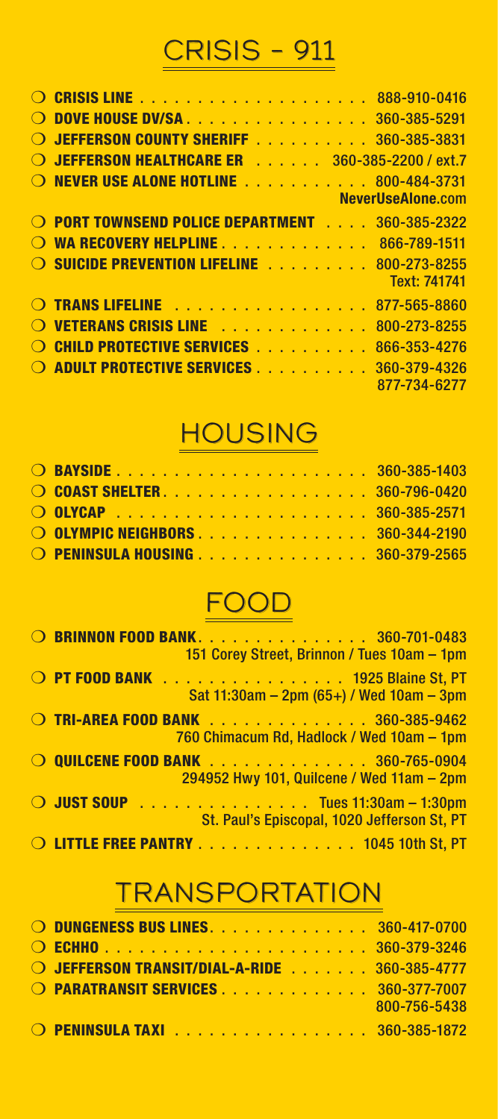# CRISIS – 911

| $\bigcirc$       | <b>DOVE HOUSE DV/SA 360-385-5291</b>                                   |
|------------------|------------------------------------------------------------------------|
| $\bigcirc$       | <b>JEFFERSON COUNTY SHERIFF</b> 360-385-3831                           |
| $\Omega$         | <b>JEFFERSON HEALTHCARE ER 360-385-2200 / ext.7</b>                    |
|                  | O NEVER USE ALONE HOTLINE 800-484-3731                                 |
|                  | NeverUseAlone.com                                                      |
|                  | O PORT TOWNSEND POLICE DEPARTMENT<br>360-385-2322                      |
|                  | O WA RECOVERY HELPLINE 866-789-1511                                    |
|                  | <b>O SUICIDE PREVENTION LIFELINE</b> 800-273-8255<br>Text: 741741      |
|                  | O TRANS LIFELINE<br>877-565-8860                                       |
| $\left( \right)$ | VETERANS CRISIS LINE <b>And Inc. In the U.S. Lines</b><br>800-273-8255 |
| $\left( \right)$ | <b>CHILD PROTECTIVE SERVICES</b><br>866-353-4276                       |
| $\Omega$         | <b>ADULT PROTECTIVE SERVICES</b><br>360-379-4326                       |
|                  | 877-734-6277                                                           |

#### HOUSING

| O COAST SHELTER. 360-796-0420    |  |  |  |  |  |  |  |  |
|----------------------------------|--|--|--|--|--|--|--|--|
|                                  |  |  |  |  |  |  |  |  |
| O OLYMPIC NEIGHBORS 360-344-2190 |  |  |  |  |  |  |  |  |
| O PENINSULA HOUSING 360-379-2565 |  |  |  |  |  |  |  |  |

#### FOOD

|  | O BRINNON FOOD BANK. 360-701-0483<br>151 Corey Street, Brinnon / Tues 10am - 1pm                     |
|--|------------------------------------------------------------------------------------------------------|
|  | O PT FOOD BANK 1925 Blaine St, PT<br>Sat $11:30$ am – 2pm (65+) / Wed $10$ am – 3pm                  |
|  | O TRI-AREA FOOD BANK 360-385-9462<br>760 Chimacum Rd, Hadlock / Wed 10am - 1pm                       |
|  | O QUILCENE FOOD BANK 360-765-0904<br>294952 Hwy 101, Quilcene / Wed 11am - 2pm                       |
|  | $\bigcirc$ JUST SOUP $\bigcirc$ Tues 11:30am - 1:30pm<br>St. Paul's Episcopal, 1020 Jefferson St, PT |
|  | O LITTLE FREE PANTRY 1045 10th St, PT                                                                |

#### **TRANSPORTATION**

| O DUNGENESS BUS LINES. 360-417-0700          |              |
|----------------------------------------------|--------------|
|                                              |              |
| O JEFFERSON TRANSIT/DIAL-A-RIDE 360-385-4777 |              |
| O PARATRANSIT SERVICES 360-377-7007          |              |
|                                              | 800-756-5438 |
| O PENINSULA TAXI 360-385-1872                |              |